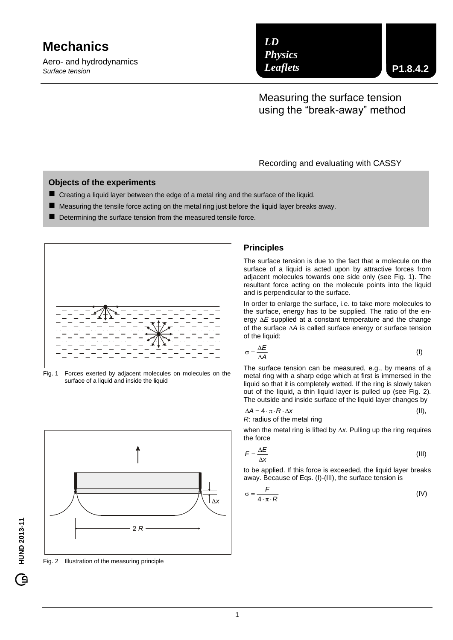# **Mechanics**

Aero- and hydrodynamics *Surface tension*

*LD Physics Leaflets*

Measuring the surface tension using the "break-away" method

#### Recording and evaluating with CASSY

#### **Objects of the experiments**

- Creating a liquid layer between the edge of a metal ring and the surface of the liquid.
- $\blacksquare$  Measuring the tensile force acting on the metal ring just before the liquid layer breaks away.
- Determining the surface tension from the measured tensile force.



Fig. 1 Forces exerted by adjacent molecules on molecules on the surface of a liquid and inside the liquid



Fig. 2 Illustration of the measuring principle

#### **Principles**

The surface tension is due to the fact that a molecule on the surface of a liquid is acted upon by attractive forces from adjacent molecules towards one side only (see Fig. 1). The resultant force acting on the molecule points into the liquid and is perpendicular to the surface.

In order to enlarge the surface, i.e. to take more molecules to the surface, energy has to be supplied. The ratio of the energy  $\Delta E$  supplied at a constant temperature and the change of the surface *A* is called surface energy or surface tension of the liquid:

$$
\sigma = \frac{\Delta E}{\Delta A} \tag{I}
$$

The surface tension can be measured, e.g., by means of a metal ring with a sharp edge which at first is immersed in the liquid so that it is completely wetted. If the ring is slowly taken out of the liquid, a thin liquid layer is pulled up (see Fig. 2). The outside and inside surface of the liquid layer changes by

$$
\Delta A = 4 \cdot \pi \cdot R \cdot \Delta x
$$
 (II),  
R: radius of the metal ring

when the metal ring is lifted by  $\Delta x$ . Pulling up the ring requires the force

$$
F = \frac{\Delta E}{\Delta x} \tag{III}
$$

to be applied. If this force is exceeded, the liquid layer breaks away. Because of Eqs. (I)-(III), the surface tension is

$$
\sigma = \frac{F}{4 \cdot \pi \cdot R} \tag{IV}
$$

G